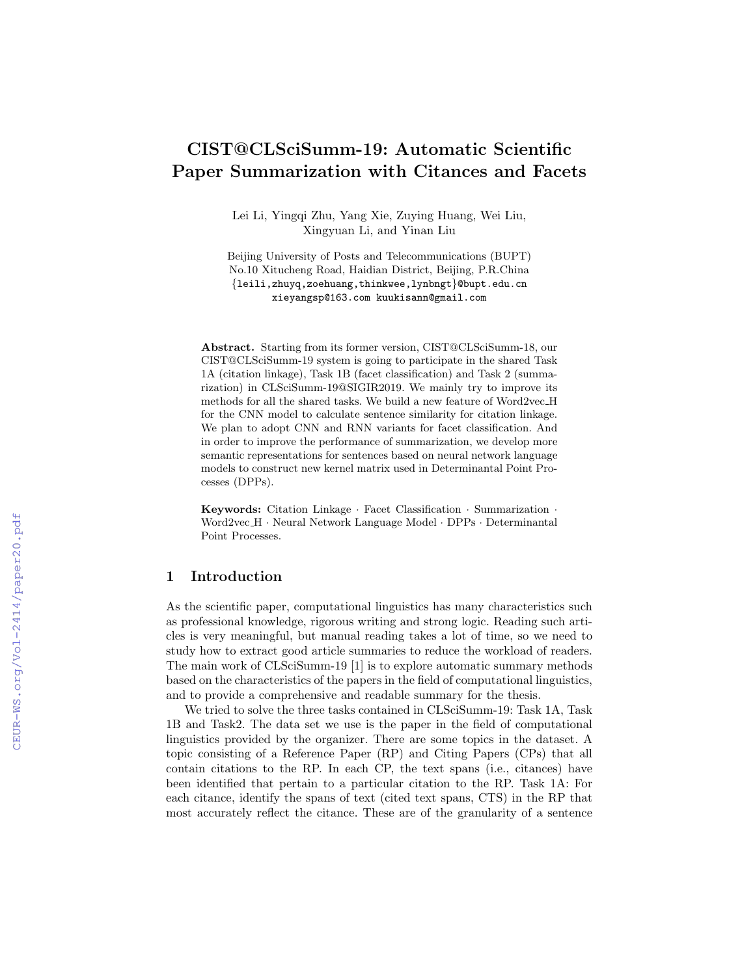# CIST@CLSciSumm-19: Automatic Scientific Paper Summarization with Citances and Facets

Lei Li, Yingqi Zhu, Yang Xie, Zuying Huang, Wei Liu, Xingyuan Li, and Yinan Liu

Beijing University of Posts and Telecommunications (BUPT) No.10 Xitucheng Road, Haidian District, Beijing, P.R.China {leili,zhuyq,zoehuang,thinkwee,lynbngt}@bupt.edu.cn xieyangsp@163.com kuukisann@gmail.com

Abstract. Starting from its former version, CIST@CLSciSumm-18, our CIST@CLSciSumm-19 system is going to participate in the shared Task 1A (citation linkage), Task 1B (facet classification) and Task 2 (summarization) in CLSciSumm-19@SIGIR2019. We mainly try to improve its methods for all the shared tasks. We build a new feature of Word2vec H for the CNN model to calculate sentence similarity for citation linkage. We plan to adopt CNN and RNN variants for facet classification. And in order to improve the performance of summarization, we develop more semantic representations for sentences based on neural network language models to construct new kernel matrix used in Determinantal Point Processes (DPPs).

Keywords: Citation Linkage · Facet Classification · Summarization · Word2vec H · Neural Network Language Model · DPPs · Determinantal Point Processes.

# 1 Introduction

As the scientific paper, computational linguistics has many characteristics such as professional knowledge, rigorous writing and strong logic. Reading such articles is very meaningful, but manual reading takes a lot of time, so we need to study how to extract good article summaries to reduce the workload of readers. The main work of CLSciSumm-19 [1] is to explore automatic summary methods based on the characteristics of the papers in the field of computational linguistics, and to provide a comprehensive and readable summary for the thesis.

We tried to solve the three tasks contained in CLSciSumm-19: Task 1A, Task 1B and Task2. The data set we use is the paper in the field of computational linguistics provided by the organizer. There are some topics in the dataset. A topic consisting of a Reference Paper (RP) and Citing Papers (CPs) that all contain citations to the RP. In each CP, the text spans (i.e., citances) have been identified that pertain to a particular citation to the RP. Task 1A: For each citance, identify the spans of text (cited text spans, CTS) in the RP that most accurately reflect the citance. These are of the granularity of a sentence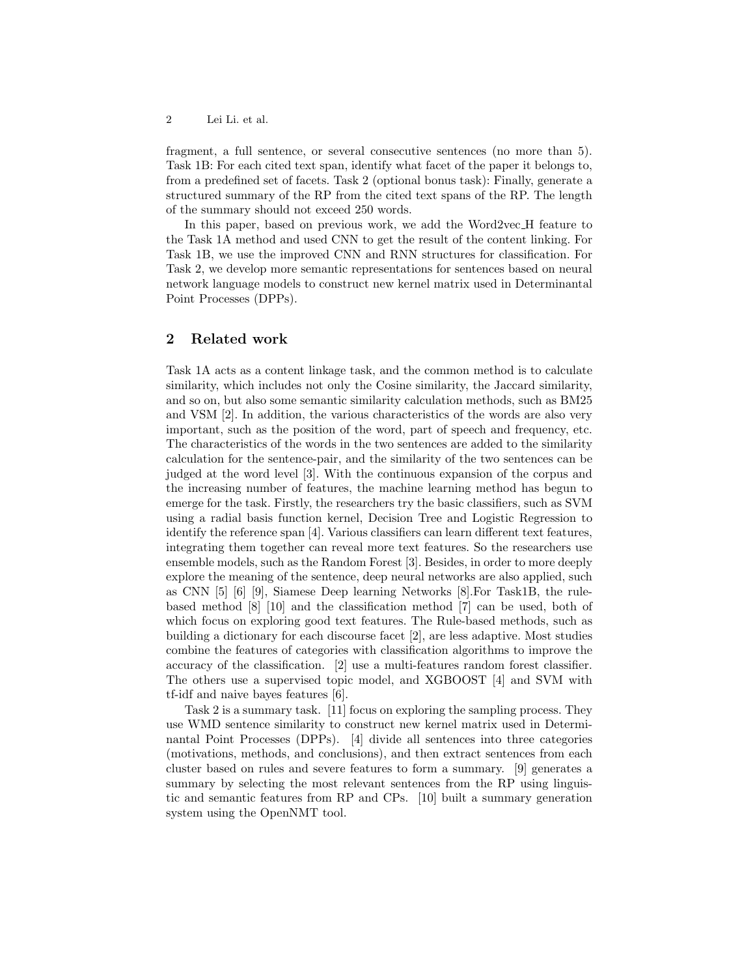fragment, a full sentence, or several consecutive sentences (no more than 5). Task 1B: For each cited text span, identify what facet of the paper it belongs to, from a predefined set of facets. Task 2 (optional bonus task): Finally, generate a structured summary of the RP from the cited text spans of the RP. The length of the summary should not exceed 250 words.

In this paper, based on previous work, we add the Word2vec H feature to the Task 1A method and used CNN to get the result of the content linking. For Task 1B, we use the improved CNN and RNN structures for classification. For Task 2, we develop more semantic representations for sentences based on neural network language models to construct new kernel matrix used in Determinantal Point Processes (DPPs).

# 2 Related work

Task 1A acts as a content linkage task, and the common method is to calculate similarity, which includes not only the Cosine similarity, the Jaccard similarity, and so on, but also some semantic similarity calculation methods, such as BM25 and VSM [2]. In addition, the various characteristics of the words are also very important, such as the position of the word, part of speech and frequency, etc. The characteristics of the words in the two sentences are added to the similarity calculation for the sentence-pair, and the similarity of the two sentences can be judged at the word level [3]. With the continuous expansion of the corpus and the increasing number of features, the machine learning method has begun to emerge for the task. Firstly, the researchers try the basic classifiers, such as SVM using a radial basis function kernel, Decision Tree and Logistic Regression to identify the reference span [4]. Various classifiers can learn different text features, integrating them together can reveal more text features. So the researchers use ensemble models, such as the Random Forest [3]. Besides, in order to more deeply explore the meaning of the sentence, deep neural networks are also applied, such as CNN [5] [6] [9], Siamese Deep learning Networks [8].For Task1B, the rulebased method [8] [10] and the classification method [7] can be used, both of which focus on exploring good text features. The Rule-based methods, such as building a dictionary for each discourse facet [2], are less adaptive. Most studies combine the features of categories with classification algorithms to improve the accuracy of the classification. [2] use a multi-features random forest classifier. The others use a supervised topic model, and XGBOOST [4] and SVM with tf-idf and naive bayes features [6].

Task 2 is a summary task. [11] focus on exploring the sampling process. They use WMD sentence similarity to construct new kernel matrix used in Determinantal Point Processes (DPPs). [4] divide all sentences into three categories (motivations, methods, and conclusions), and then extract sentences from each cluster based on rules and severe features to form a summary. [9] generates a summary by selecting the most relevant sentences from the RP using linguistic and semantic features from RP and CPs. [10] built a summary generation system using the OpenNMT tool.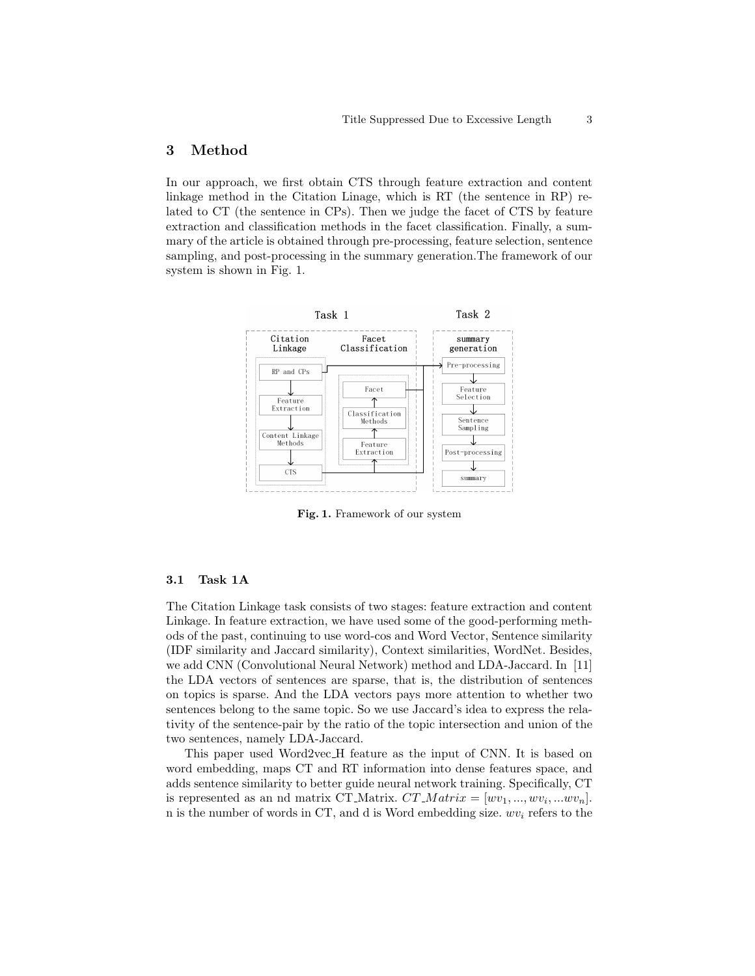# 3 Method

In our approach, we first obtain CTS through feature extraction and content linkage method in the Citation Linage, which is RT (the sentence in RP) related to CT (the sentence in CPs). Then we judge the facet of CTS by feature extraction and classification methods in the facet classification. Finally, a summary of the article is obtained through pre-processing, feature selection, sentence sampling, and post-processing in the summary generation.The framework of our system is shown in Fig. 1.



Fig. 1. Framework of our system

### 3.1 Task 1A

The Citation Linkage task consists of two stages: feature extraction and content Linkage. In feature extraction, we have used some of the good-performing methods of the past, continuing to use word-cos and Word Vector, Sentence similarity (IDF similarity and Jaccard similarity), Context similarities, WordNet. Besides, we add CNN (Convolutional Neural Network) method and LDA-Jaccard. In [11] the LDA vectors of sentences are sparse, that is, the distribution of sentences on topics is sparse. And the LDA vectors pays more attention to whether two sentences belong to the same topic. So we use Jaccard's idea to express the relativity of the sentence-pair by the ratio of the topic intersection and union of the two sentences, namely LDA-Jaccard.

This paper used Word2vec H feature as the input of CNN. It is based on word embedding, maps CT and RT information into dense features space, and adds sentence similarity to better guide neural network training. Specifically, CT is represented as an nd matrix CT Matrix.  $CT$   $Matrix = [wv_1, ..., wv_i, ...wv_n].$ n is the number of words in CT, and d is Word embedding size.  $wv_i$  refers to the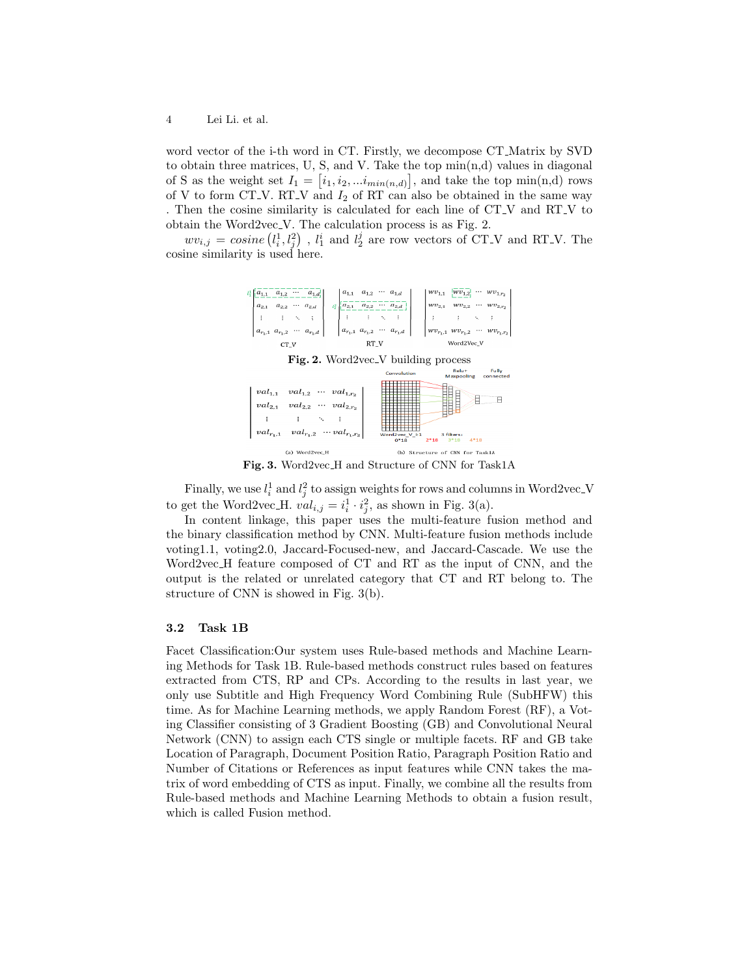word vector of the i-th word in CT. Firstly, we decompose CT Matrix by SVD to obtain three matrices, U, S, and V. Take the top  $\min(n,d)$  values in diagonal of S as the weight set  $I_1 = [i_1, i_2, ... i_{min(n,d)}]$ , and take the top min(n,d) rows of V to form CT<sub>-V</sub>. RT<sub>-V</sub> and  $I_2$  of RT can also be obtained in the same way . Then the cosine similarity is calculated for each line of CT V and RT V to obtain the Word2vec V. The calculation process is as Fig. 2.

 $wv_{i,j} = cosine\left(l_i^1, l_j^2\right)$ ,  $l_1^i$  and  $l_2^j$  are row vectors of CT\_V and RT\_V. The cosine similarity is used here.



Fig. 3. Word2vec H and Structure of CNN for Task1A

Finally, we use  $l_i^1$  and  $l_j^2$  to assign weights for rows and columns in Word2vec<sub>-V</sub> to get the Word2vec\_H.  $val_{i,j} = i_i^1 \cdot i_j^2$ , as shown in Fig. 3(a).

In content linkage, this paper uses the multi-feature fusion method and the binary classification method by CNN. Multi-feature fusion methods include voting1.1, voting2.0, Jaccard-Focused-new, and Jaccard-Cascade. We use the Word2vec H feature composed of CT and RT as the input of CNN, and the output is the related or unrelated category that CT and RT belong to. The structure of CNN is showed in Fig. 3(b).

## 3.2 Task 1B

Facet Classification:Our system uses Rule-based methods and Machine Learning Methods for Task 1B. Rule-based methods construct rules based on features extracted from CTS, RP and CPs. According to the results in last year, we only use Subtitle and High Frequency Word Combining Rule (SubHFW) this time. As for Machine Learning methods, we apply Random Forest (RF), a Voting Classifier consisting of 3 Gradient Boosting (GB) and Convolutional Neural Network (CNN) to assign each CTS single or multiple facets. RF and GB take Location of Paragraph, Document Position Ratio, Paragraph Position Ratio and Number of Citations or References as input features while CNN takes the matrix of word embedding of CTS as input. Finally, we combine all the results from Rule-based methods and Machine Learning Methods to obtain a fusion result, which is called Fusion method.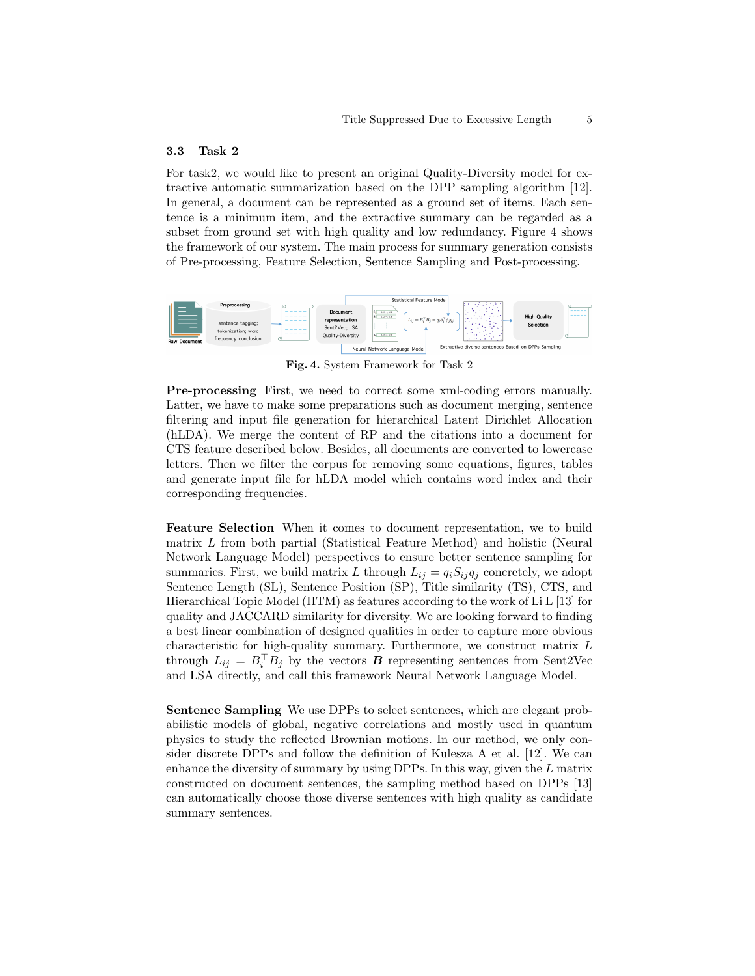### 3.3 Task 2

For task2, we would like to present an original Quality-Diversity model for extractive automatic summarization based on the DPP sampling algorithm [12]. In general, a document can be represented as a ground set of items. Each sentence is a minimum item, and the extractive summary can be regarded as a subset from ground set with high quality and low redundancy. Figure 4 shows the framework of our system. The main process for summary generation consists of Pre-processing, Feature Selection, Sentence Sampling and Post-processing.



Fig. 4. System Framework for Task 2

Pre-processing First, we need to correct some xml-coding errors manually. Latter, we have to make some preparations such as document merging, sentence filtering and input file generation for hierarchical Latent Dirichlet Allocation (hLDA). We merge the content of RP and the citations into a document for CTS feature described below. Besides, all documents are converted to lowercase letters. Then we filter the corpus for removing some equations, figures, tables and generate input file for hLDA model which contains word index and their corresponding frequencies.

Feature Selection When it comes to document representation, we to build matrix L from both partial (Statistical Feature Method) and holistic (Neural Network Language Model) perspectives to ensure better sentence sampling for summaries. First, we build matrix L through  $L_{ij} = q_i S_{ij} q_j$  concretely, we adopt Sentence Length (SL), Sentence Position (SP), Title similarity (TS), CTS, and Hierarchical Topic Model (HTM) as features according to the work of Li L [13] for quality and JACCARD similarity for diversity. We are looking forward to finding a best linear combination of designed qualities in order to capture more obvious characteristic for high-quality summary. Furthermore, we construct matrix L through  $L_{ij} = B_i^{\top} B_j$  by the vectors **B** representing sentences from Sent2Vec and LSA directly, and call this framework Neural Network Language Model.

Sentence Sampling We use DPPs to select sentences, which are elegant probabilistic models of global, negative correlations and mostly used in quantum physics to study the reflected Brownian motions. In our method, we only consider discrete DPPs and follow the definition of Kulesza A et al. [12]. We can enhance the diversity of summary by using DPPs. In this way, given the L matrix constructed on document sentences, the sampling method based on DPPs [13] can automatically choose those diverse sentences with high quality as candidate summary sentences.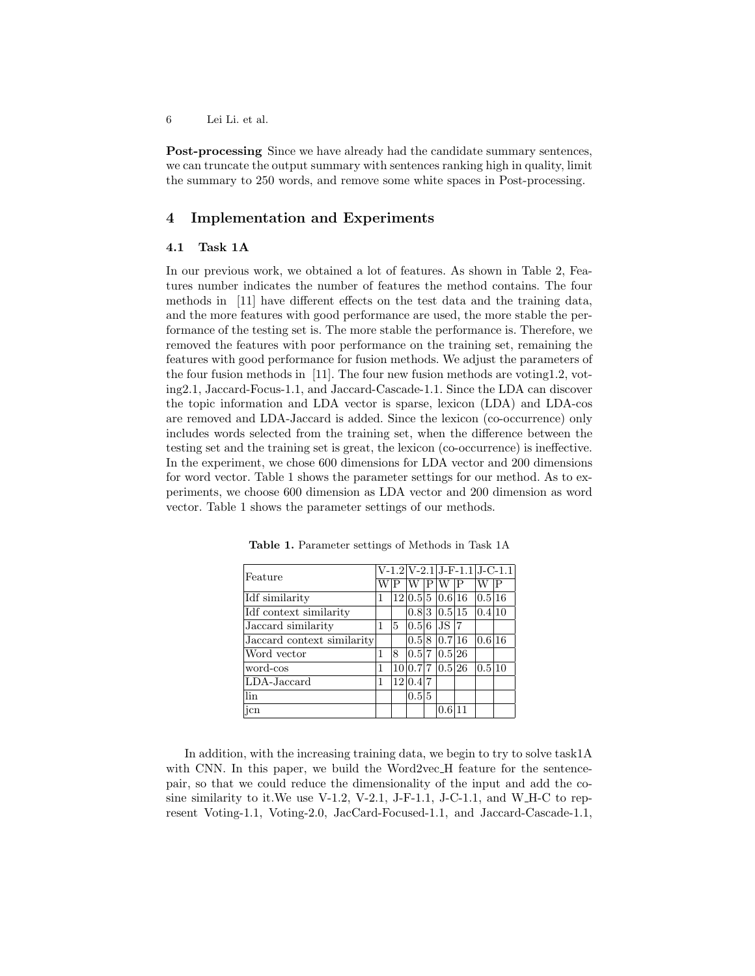Post-processing Since we have already had the candidate summary sentences, we can truncate the output summary with sentences ranking high in quality, limit the summary to 250 words, and remove some white spaces in Post-processing.

## 4 Implementation and Experiments

## 4.1 Task 1A

In our previous work, we obtained a lot of features. As shown in Table 2, Features number indicates the number of features the method contains. The four methods in [11] have different effects on the test data and the training data, and the more features with good performance are used, the more stable the performance of the testing set is. The more stable the performance is. Therefore, we removed the features with poor performance on the training set, remaining the features with good performance for fusion methods. We adjust the parameters of the four fusion methods in [11]. The four new fusion methods are voting1.2, voting2.1, Jaccard-Focus-1.1, and Jaccard-Cascade-1.1. Since the LDA can discover the topic information and LDA vector is sparse, lexicon (LDA) and LDA-cos are removed and LDA-Jaccard is added. Since the lexicon (co-occurrence) only includes words selected from the training set, when the difference between the testing set and the training set is great, the lexicon (co-occurrence) is ineffective. In the experiment, we chose 600 dimensions for LDA vector and 200 dimensions for word vector. Table 1 shows the parameter settings for our method. As to experiments, we choose 600 dimension as LDA vector and 200 dimension as word vector. Table 1 shows the parameter settings of our methods.

| Feature                    |   |    |                 |    | $V-1.2 V-2.1 J-F-1.1 J-C-1.1$ |    |        |  |
|----------------------------|---|----|-----------------|----|-------------------------------|----|--------|--|
|                            |   |    |                 | ΙP |                               | .P | W      |  |
| Idf similarity             | 1 |    | 12 0.5 5 0.6 16 |    |                               |    | 0.5 16 |  |
| Idf context similarity     |   |    |                 |    | 0.8 3 0.5 15                  |    | 0.4 10 |  |
| Jaccard similarity         | 1 | 15 | 0.5 6           |    | JSI7                          |    |        |  |
| Jaccard context similarity |   |    | 0.5 8           |    | 0.7 16                        |    | 0.6 16 |  |
| Word vector                |   | 18 | 0.5 7           |    | 0.5 26                        |    |        |  |
| word-cos                   |   |    | 10 0.7 7        |    | 0.5 26                        |    | 0.5 10 |  |
| LDA-Jaccard                | 1 |    | 12 0.4 7        |    |                               |    |        |  |
| lin                        |   |    | 0.5 5           |    |                               |    |        |  |
| jcn                        |   |    |                 |    | 0.6                           | 11 |        |  |

Table 1. Parameter settings of Methods in Task 1A

In addition, with the increasing training data, we begin to try to solve task1A with CNN. In this paper, we build the Word2vec\_H feature for the sentencepair, so that we could reduce the dimensionality of the input and add the cosine similarity to it.We use V-1.2, V-2.1, J-F-1.1, J-C-1.1, and W H-C to represent Voting-1.1, Voting-2.0, JacCard-Focused-1.1, and Jaccard-Cascade-1.1,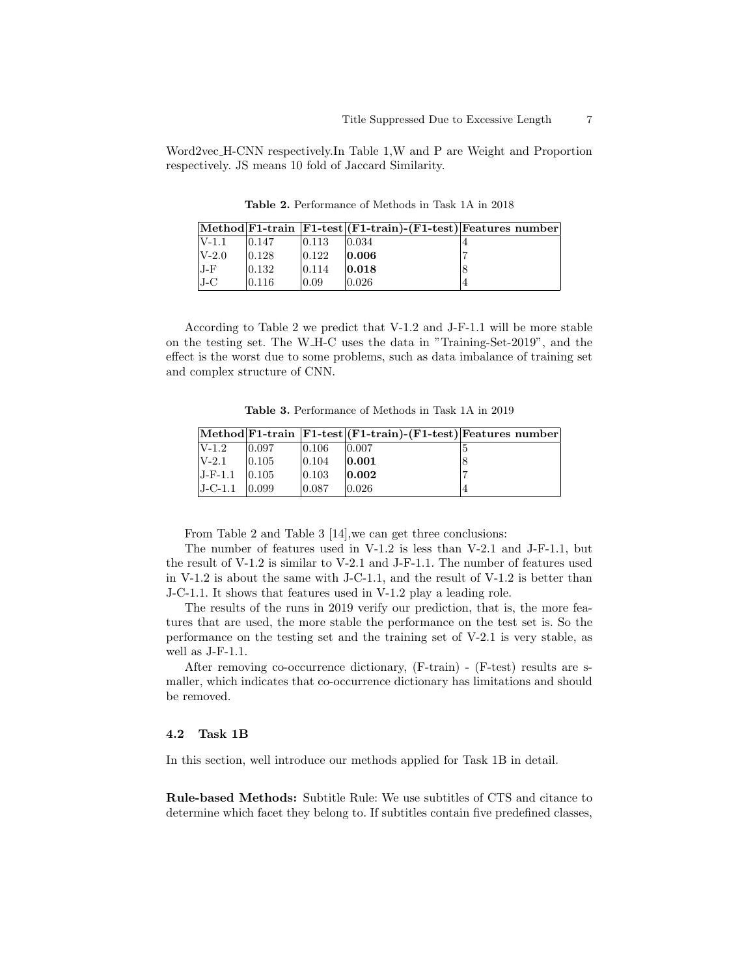Word2vec H-CNN respectively.In Table 1,W and P are Weight and Proportion respectively. JS means 10 fold of Jaccard Similarity.

|           |        |                 | $ \text{Method} F1-train$ $ F1-test $ $(F1-train)$ $-(F1-test) Features$ number |  |
|-----------|--------|-----------------|---------------------------------------------------------------------------------|--|
| $ V-1.1 $ | 10.147 | 10.113          | 0.034                                                                           |  |
| $V-2.0$   | 10.128 | 0.122           | 0.006                                                                           |  |
| J-F       | 10.132 | $ 0.114\rangle$ | 0.018                                                                           |  |
| $J-C$     | 10.116 | 0.09            | 10.026                                                                          |  |

Table 2. Performance of Methods in Task 1A in 2018

According to Table 2 we predict that V-1.2 and J-F-1.1 will be more stable on the testing set. The W H-C uses the data in "Training-Set-2019", and the effect is the worst due to some problems, such as data imbalance of training set and complex structure of CNN.

Table 3. Performance of Methods in Task 1A in 2019

|           |                 |                 | $[Method] F1-train$ $[Fl-test] (F1-train)$ - $(F1-test)$ [Features number] |  |
|-----------|-----------------|-----------------|----------------------------------------------------------------------------|--|
| $V-1.2$   | 10.097          | 0.106           | 10.007                                                                     |  |
| $V-2.1$   | $ 0.105\rangle$ | $ 0.104\rangle$ | 0.001                                                                      |  |
| $J-F-1.1$ | 0.105           | 0.103           | 0.002                                                                      |  |
| $J-C-1.1$ | 10.099          | 0.087           | 10.026                                                                     |  |

From Table 2 and Table 3 [14],we can get three conclusions:

The number of features used in V-1.2 is less than V-2.1 and J-F-1.1, but the result of V-1.2 is similar to V-2.1 and J-F-1.1. The number of features used in V-1.2 is about the same with J-C-1.1, and the result of V-1.2 is better than J-C-1.1. It shows that features used in V-1.2 play a leading role.

The results of the runs in 2019 verify our prediction, that is, the more features that are used, the more stable the performance on the test set is. So the performance on the testing set and the training set of V-2.1 is very stable, as well as J-F-1.1.

After removing co-occurrence dictionary, (F-train) - (F-test) results are smaller, which indicates that co-occurrence dictionary has limitations and should be removed.

#### 4.2 Task 1B

In this section, well introduce our methods applied for Task 1B in detail.

Rule-based Methods: Subtitle Rule: We use subtitles of CTS and citance to determine which facet they belong to. If subtitles contain five predefined classes,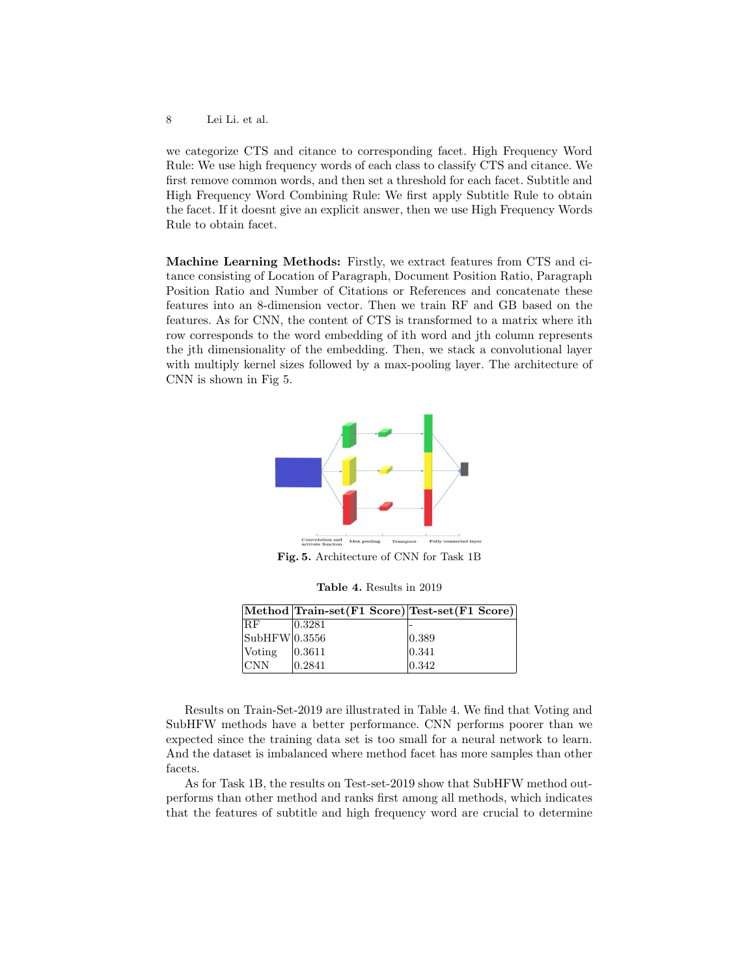we categorize CTS and citance to corresponding facet. High Frequency Word Rule: We use high frequency words of each class to classify CTS and citance. We first remove common words, and then set a threshold for each facet. Subtitle and High Frequency Word Combining Rule: We first apply Subtitle Rule to obtain the facet. If it doesnt give an explicit answer, then we use High Frequency Words Rule to obtain facet.

Machine Learning Methods: Firstly, we extract features from CTS and citance consisting of Location of Paragraph, Document Position Ratio, Paragraph Position Ratio and Number of Citations or References and concatenate these features into an 8-dimension vector. Then we train RF and GB based on the features. As for CNN, the content of CTS is transformed to a matrix where ith row corresponds to the word embedding of ith word and jth column represents the jth dimensionality of the embedding. Then, we stack a convolutional layer with multiply kernel sizes followed by a max-pooling layer. The architecture of CNN is shown in Fig 5.



Fig. 5. Architecture of CNN for Task 1B

Table 4. Results in 2019

|                        | Method Train-set (F1 Score) Test-set (F1 Score) |                 |
|------------------------|-------------------------------------------------|-----------------|
| 'RF                    | 0.3281                                          |                 |
| $\text{SubHFW} 0.3556$ |                                                 | $ 0.389\rangle$ |
| Voting                 | 0.3611                                          | 0.341           |
| <b>CNN</b>             | 0.2841                                          | 0.342           |

Results on Train-Set-2019 are illustrated in Table 4. We find that Voting and SubHFW methods have a better performance. CNN performs poorer than we expected since the training data set is too small for a neural network to learn. And the dataset is imbalanced where method facet has more samples than other facets.

As for Task 1B, the results on Test-set-2019 show that SubHFW method outperforms than other method and ranks first among all methods, which indicates that the features of subtitle and high frequency word are crucial to determine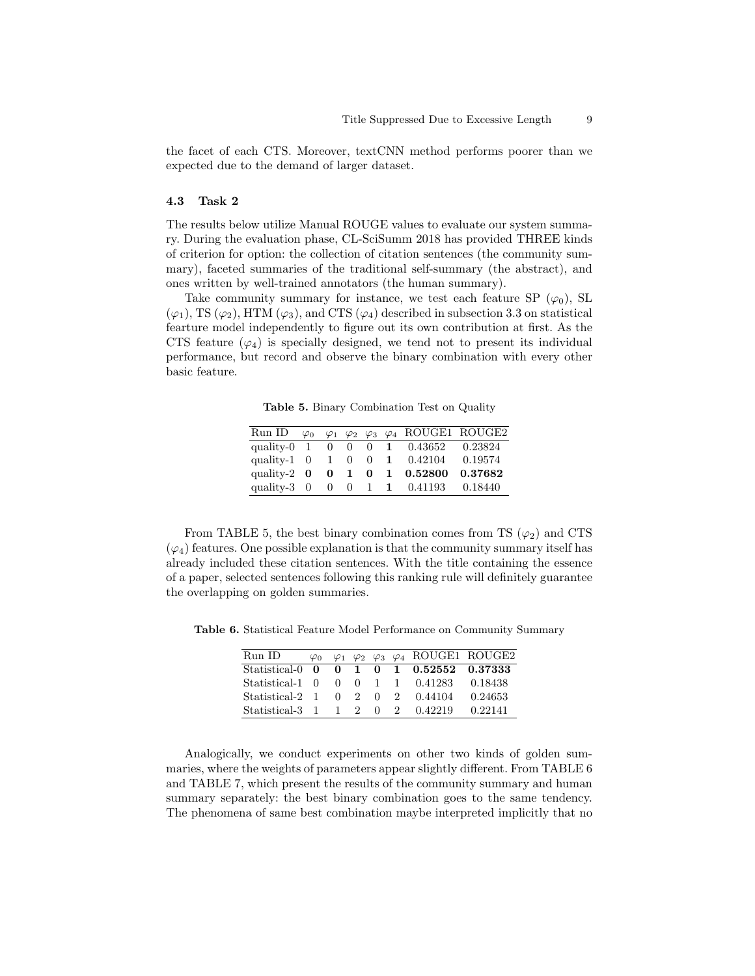the facet of each CTS. Moreover, textCNN method performs poorer than we expected due to the demand of larger dataset.

#### 4.3 Task 2

The results below utilize Manual ROUGE values to evaluate our system summary. During the evaluation phase, CL-SciSumm 2018 has provided THREE kinds of criterion for option: the collection of citation sentences (the community summary), faceted summaries of the traditional self-summary (the abstract), and ones written by well-trained annotators (the human summary).

Take community summary for instance, we test each feature SP  $(\varphi_0)$ , SL  $(\varphi_1)$ , TS  $(\varphi_2)$ , HTM  $(\varphi_3)$ , and CTS  $(\varphi_4)$  described in subsection 3.3 on statistical fearture model independently to figure out its own contribution at first. As the CTS feature  $(\varphi_4)$  is specially designed, we tend not to present its individual performance, but record and observe the binary combination with every other basic feature.

Table 5. Binary Combination Test on Quality

|                        |  |  | Run ID $\varphi_0$ $\varphi_1$ $\varphi_2$ $\varphi_3$ $\varphi_4$ ROUGE1 ROUGE2 |         |
|------------------------|--|--|----------------------------------------------------------------------------------|---------|
|                        |  |  | quality-0 1 0 0 0 1 0.43652 0.23824                                              |         |
|                        |  |  | quality-1 $0 \t1 \t0 \t1 \t0.42104$                                              | 0.19574 |
| quality-2 $\mathbf{0}$ |  |  | $0 \quad 1 \quad 0 \quad 1 \quad 0.52800$                                        | 0.37682 |
|                        |  |  | quality-3 0 0 0 1 1 0.41193 0.18440                                              |         |
|                        |  |  |                                                                                  |         |

From TABLE 5, the best binary combination comes from TS  $(\varphi_2)$  and CTS  $(\varphi_4)$  features. One possible explanation is that the community summary itself has already included these citation sentences. With the title containing the essence of a paper, selected sentences following this ranking rule will definitely guarantee the overlapping on golden summaries.

Table 6. Statistical Feature Model Performance on Community Summary

| Run ID                            | $\varphi_0$ |                 |  | $\varphi_1$ $\varphi_2$ $\varphi_3$ $\varphi_4$ ROUGE1 ROUGE2 |         |
|-----------------------------------|-------------|-----------------|--|---------------------------------------------------------------|---------|
| Statistical-0 0                   |             |                 |  | $0 \quad 1 \quad 0 \quad 1 \quad 0.52552 \quad 0.37333$       |         |
| Statistical-1 0                   |             |                 |  | $0 \quad 0 \quad 1 \quad 1 \quad 0.41283$                     | 0.18438 |
| Statistical-2 1                   |             | $0 \t2 \t0 \t2$ |  | 0.44104                                                       | 0.24653 |
| Statistical-3 $1 \t1 \t2 \t0 \t2$ |             |                 |  | 0.42219                                                       | 0.22141 |

Analogically, we conduct experiments on other two kinds of golden summaries, where the weights of parameters appear slightly different. From TABLE 6 and TABLE 7, which present the results of the community summary and human summary separately: the best binary combination goes to the same tendency. The phenomena of same best combination maybe interpreted implicitly that no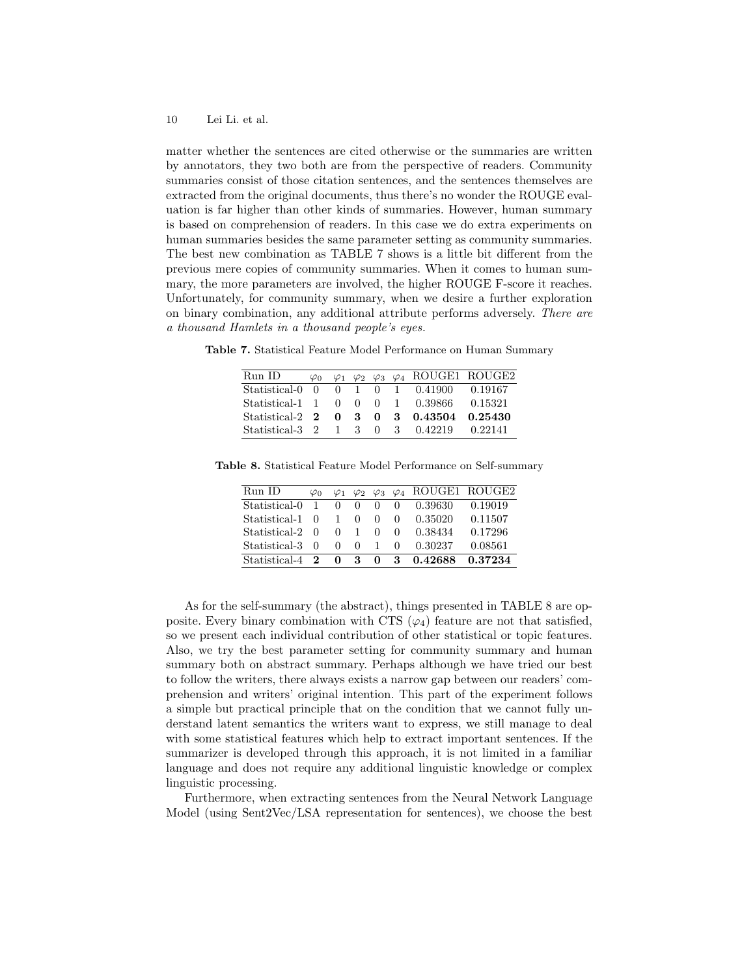matter whether the sentences are cited otherwise or the summaries are written by annotators, they two both are from the perspective of readers. Community summaries consist of those citation sentences, and the sentences themselves are extracted from the original documents, thus there's no wonder the ROUGE evaluation is far higher than other kinds of summaries. However, human summary is based on comprehension of readers. In this case we do extra experiments on human summaries besides the same parameter setting as community summaries. The best new combination as TABLE 7 shows is a little bit different from the previous mere copies of community summaries. When it comes to human summary, the more parameters are involved, the higher ROUGE F-score it reaches. Unfortunately, for community summary, when we desire a further exploration on binary combination, any additional attribute performs adversely. There are a thousand Hamlets in a thousand people's eyes.

Table 7. Statistical Feature Model Performance on Human Summary

| Run ID                                  |  |  | $\varphi_0$ $\varphi_1$ $\varphi_2$ $\varphi_3$ $\varphi_4$ ROUGE1 ROUGE2 |  |
|-----------------------------------------|--|--|---------------------------------------------------------------------------|--|
| Statistical-0 0 0 1 0 1 0.41900 0.19167 |  |  |                                                                           |  |
| Statistical-1 1 0 0 0 1 0.39866 0.15321 |  |  |                                                                           |  |
|                                         |  |  |                                                                           |  |
| Statistical-3 2 1 3 0 3 0.42219 0.22141 |  |  |                                                                           |  |

Table 8. Statistical Feature Model Performance on Self-summary

| Run ID          | $\varphi_0$ |              |                                     |                |        | $\varphi_1$ $\varphi_2$ $\varphi_3$ $\varphi_4$ ROUGE1 ROUGE2 |         |
|-----------------|-------------|--------------|-------------------------------------|----------------|--------|---------------------------------------------------------------|---------|
| Statistical-0   | -1          | $\Omega$     | $\theta$                            | $\Omega$       | $\cup$ | 0.39630                                                       | 0.19019 |
| Statistical-1   | $\Omega$    | $1 -$        | 0                                   | $\Omega$       | $\cup$ | 0.35020                                                       | 0.11507 |
| Statistical-2   | ∩           | $\mathbf{0}$ | $\mathbf{1}$                        | $\Omega$       | $\cup$ | 0.38434                                                       | 0.17296 |
| Statistical-3   | $\Omega$    | $\theta$     | $^{\circ}$                          | $\overline{1}$ | $\cup$ | 0.30237                                                       | 0.08561 |
| Statistical-4 2 |             |              | $\begin{matrix} 0 & 3 \end{matrix}$ | $\mathbf{0}$   | -3     | 0.42688                                                       | 0.37234 |

As for the self-summary (the abstract), things presented in TABLE 8 are opposite. Every binary combination with CTS  $(\varphi_4)$  feature are not that satisfied, so we present each individual contribution of other statistical or topic features. Also, we try the best parameter setting for community summary and human summary both on abstract summary. Perhaps although we have tried our best to follow the writers, there always exists a narrow gap between our readers' comprehension and writers' original intention. This part of the experiment follows a simple but practical principle that on the condition that we cannot fully understand latent semantics the writers want to express, we still manage to deal with some statistical features which help to extract important sentences. If the summarizer is developed through this approach, it is not limited in a familiar language and does not require any additional linguistic knowledge or complex linguistic processing.

Furthermore, when extracting sentences from the Neural Network Language Model (using Sent2Vec/LSA representation for sentences), we choose the best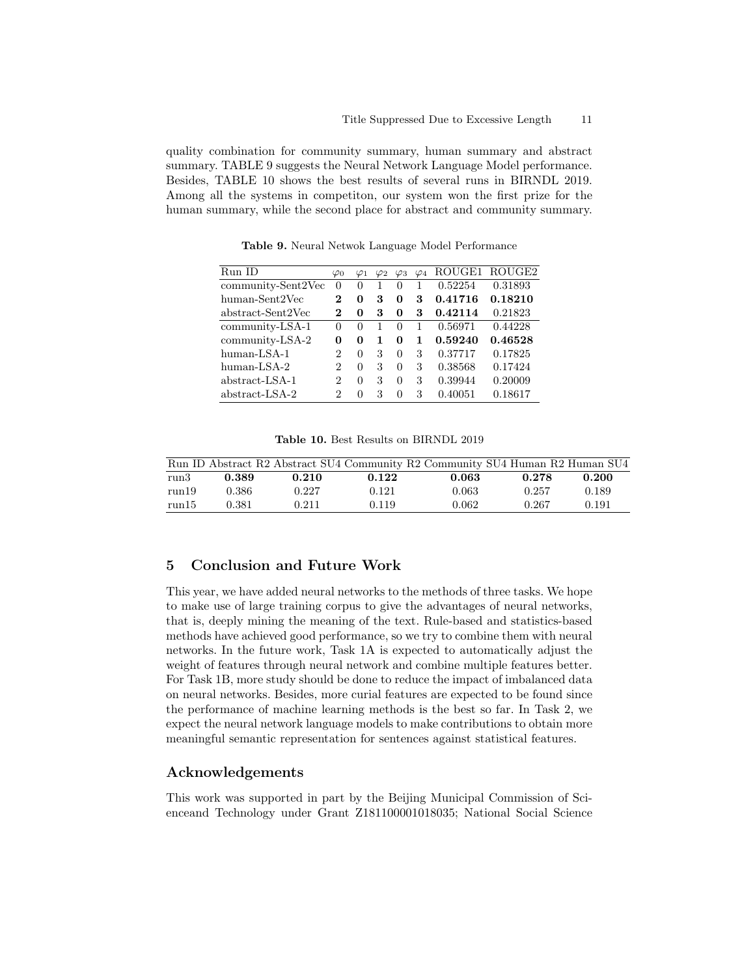quality combination for community summary, human summary and abstract summary. TABLE 9 suggests the Neural Network Language Model performance. Besides, TABLE 10 shows the best results of several runs in BIRNDL 2019. Among all the systems in competiton, our system won the first prize for the human summary, while the second place for abstract and community summary.

Run ID  $\varphi_0$   $\varphi_1$   $\varphi_2$   $\varphi_3$   $\varphi_4$  ROUGE1 ROUGE2 community-Sent2Vec 0 0 1 0 1 0.52254 0.31893 human-Sent2Vec 2 0 3 0 3 0.41716 0.18210 abstract-Sent2Vec 2 0 3 0 3 0.42114 0.21823 community-LSA-1 0 0 1 0 1 0.56971 0.44228 community-LSA-2 0 0 1 0 1 0.59240 0.46528 human-LSA-1 2 0 3 0 3 0.37717 0.17825 human-LSA-2 2 0 3 0 3 0.38568 0.17424 abstract-LSA-1 2 0 3 0 3 0.39944 0.20009 abstract-LSA-2 2 0 3 0 3 0.40051 0.18617

Table 9. Neural Netwok Language Model Performance

|  |  | <b>Table 10.</b> Best Results on BIRNDL 2019 |  |
|--|--|----------------------------------------------|--|
|  |  |                                              |  |

|       |       |       |       | Run ID Abstract R2 Abstract SU4 Community R2 Community SU4 Human R2 Human SU4 |       |       |
|-------|-------|-------|-------|-------------------------------------------------------------------------------|-------|-------|
| run3  | 0.389 | 0.210 | 0.122 | 0.063                                                                         | 0.278 | 0.200 |
| run19 | 0.386 | 0.227 | 0.121 | 0.063                                                                         | 0.257 | 0.189 |
| run15 | 0.381 | 0.211 | 0.119 | 0.062                                                                         | 0.267 | 0.191 |

# 5 Conclusion and Future Work

This year, we have added neural networks to the methods of three tasks. We hope to make use of large training corpus to give the advantages of neural networks, that is, deeply mining the meaning of the text. Rule-based and statistics-based methods have achieved good performance, so we try to combine them with neural networks. In the future work, Task 1A is expected to automatically adjust the weight of features through neural network and combine multiple features better. For Task 1B, more study should be done to reduce the impact of imbalanced data on neural networks. Besides, more curial features are expected to be found since the performance of machine learning methods is the best so far. In Task 2, we expect the neural network language models to make contributions to obtain more meaningful semantic representation for sentences against statistical features.

## Acknowledgements

This work was supported in part by the Beijing Municipal Commission of Scienceand Technology under Grant Z181100001018035; National Social Science